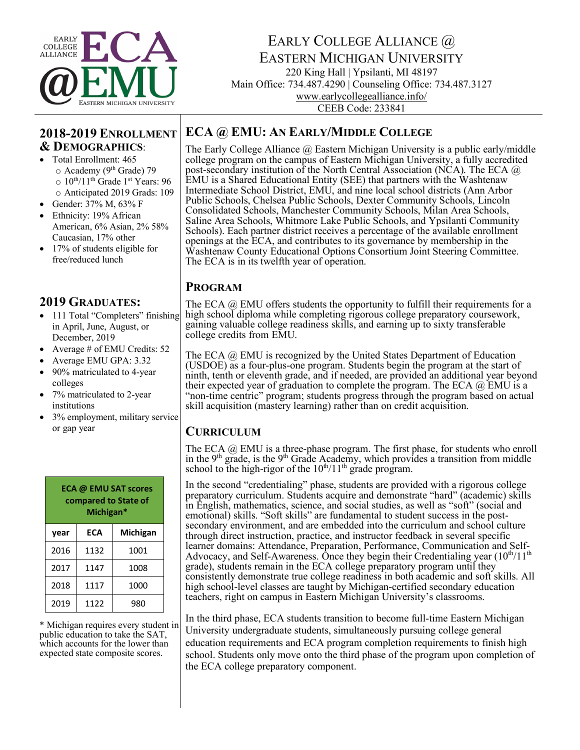

# EARLY COLLEGE ALLIANCE  $\widehat{a}$ EASTERN MICHIGAN UNIVERSITY

220 King Hall | Ypsilanti, MI 48197 Main Office: 734.487.4290 | Counseling Office: 734.487.3127 www.earlycollegealliance.info/ CEEB Code: 233841

**ECA @ EMU: AN EARLY/MIDDLE COLLEGE**

### **2018-2019 ENROLLMENT & DEMOGRAPHICS**:

- Total Enrollment: 465 o Academy (9th Grade) 79  $\circ$  10<sup>th</sup>/11<sup>th</sup> Grade 1<sup>st</sup> Years: 96 o Anticipated 2019 Grads: 109
- Gender: 37% M, 63% F
- Ethnicity: 19% African American, 6% Asian, 2% 58% Caucasian, 17% other
- 17% of students eligible for free/reduced lunch

### **2019 GRADUATES:**

- 111 Total "Completers" finishing in April, June, August, or December, 2019
- Average # of EMU Credits: 52
- Average EMU GPA: 3.32
- 90% matriculated to 4-year colleges
- 7% matriculated to 2-year institutions
- 3% employment, military service or gap year

| <b>ECA @ EMU SAT scores</b><br>compared to State of<br>Michigan* |      |          |  |
|------------------------------------------------------------------|------|----------|--|
| year                                                             | ECA  | Michigan |  |
| 2016                                                             | 1132 | 1001     |  |
| 2017                                                             | 1147 | 1008     |  |
| 2018                                                             | 1117 | 1000     |  |
| 2019                                                             | 1122 | 980      |  |

\* Michigan requires every student in which accounts for the lower than expected state composite scores.

The Early College Alliance @ Eastern Michigan University is a public early/middle college program on the campus of Eastern Michigan University, a fully accredited post-secondary institution of the North Central Association (NCA). The ECA @ EMU is a Shared Educational Entity (SEE) that partners with the Washtenaw Intermediate School District, EMU, and nine local school districts (Ann Arbor Public Schools, Chelsea Public Schools, Dexter Community Schools, Lincoln Consolidated Schools, Manchester Community Schools, Milan Area Schools, Saline Area Schools, Whitmore Lake Public Schools, and Ypsilanti Community Schools). Each partner district receives a percentage of the available enrollment openings at the ECA, and contributes to its governance by membership in the Washtenaw County Educational Options Consortium Joint Steering Committee. The ECA is in its twelfth year of operation.

#### **PROGRAM**

The ECA  $\omega$  EMU offers students the opportunity to fulfill their requirements for a high school diploma while completing rigorous college preparatory coursework, gaining valuable college readiness skills, and earning up to sixty transferable college credits from EMU.

The ECA @ EMU is recognized by the United States Department of Education (USDOE) as a four-plus-one program. Students begin the program at the start of ninth, tenth or eleventh grade, and if needed, are provided an additional year beyond their expected year of graduation to complete the program. The ECA  $\omega$  EMU is a "non-time centric" program; students progress through the program based on actual skill acquisition (mastery learning) rather than on credit acquisition.

## **CURRICULUM**

The ECA  $\omega$  EMU is a three-phase program. The first phase, for students who enroll in the  $9<sup>th</sup>$  grade, is the  $9<sup>th</sup>$  Grade Academy, which provides a transition from middle school to the high-rigor of the  $10^{th}/11^{th}$  grade program.

In the second "credentialing" phase, students are provided with a rigorous college preparatory curriculum. Students acquire and demonstrate "hard" (academic) skills in English, mathematics, science, and social studies, as well as "soft" (social and emotional) skills. "Soft skills" are fundamental to student success in the post-<br>secondary environment, and are embedded into the curriculum and school culture through direct instruction, practice, and instructor feedback in several specific Advocacy, and Self-Awareness. Once they begin their Credentialing year  $(10^{th}/11^{th}$ grade), students remain in the ECA college preparatory program until they consistently demonstrate true college readiness in both academic and soft skills. All high school-level classes are taught by Michigan-certified secondary education teachers, right on campus in Eastern Michigan University's classrooms.

In the third phase, ECA students transition to become full-time Eastern Michigan University undergraduate students, simultaneously pursuing college general education requirements and ECA program completion requirements to finish high school. Students only move onto the third phase of the program upon completion of the ECA college preparatory component.